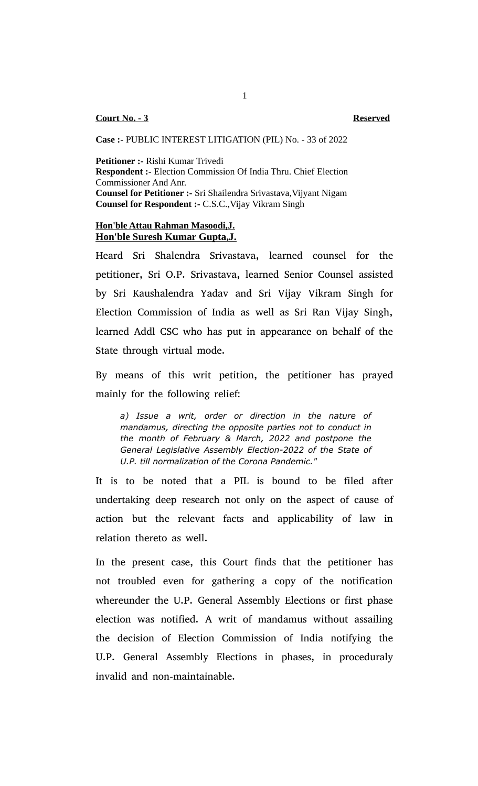## **Case :-** PUBLIC INTEREST LITIGATION (PIL) No. - 33 of 2022

**Petitioner :-** Rishi Kumar Trivedi **Respondent :-** Election Commission Of India Thru. Chief Election Commissioner And Anr. **Counsel for Petitioner :-** Sri Shailendra Srivastava, Vijyant Nigam **Counsel for Respondent :-** C.S.C.,Vijay Vikram Singh

## **Hon'ble Attau Rahman Masoodi,J. Hon'ble Suresh Kumar Gupta,J.**

Heard Sri Shalendra Srivastava, learned counsel for the petitioner, Sri O.P. Srivastava, learned Senior Counsel assisted by Sri Kaushalendra Yadav and Sri Vijay Vikram Singh for Election Commission of India as well as Sri Ran Vijay Singh, learned Addl CSC who has put in appearance on behalf of the State through virtual mode.

By means of this writ petition, the petitioner has prayed mainly for the following relief:

*a) Issue a writ, order or direction in the nature of mandamus, directing the opposite parties not to conduct in the month of February & March, 2022 and postpone the General Legislative Assembly Election-2022 of the State of U.P. till normalization of the Corona Pandemic."*

It is to be noted that a PIL is bound to be filed after undertaking deep research not only on the aspect of cause of action but the relevant facts and applicability of law in relation thereto as well.

In the present case, this Court finds that the petitioner has not troubled even for gathering a copy of the notification whereunder the U.P. General Assembly Elections or first phase election was notified. A writ of mandamus without assailing the decision of Election Commission of India notifying the U.P. General Assembly Elections in phases, in proceduraly invalid and non-maintainable.